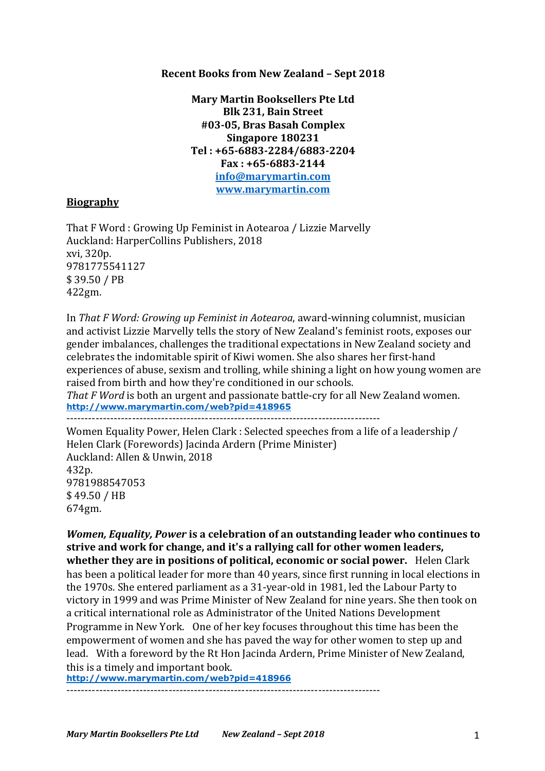# **Recent Books from New Zealand - Sept 2018**

**Mary Martin Booksellers Pte Ltd Blk 231, Bain Street #03-05, Bras Basah Complex Singapore 180231 Tel : +65-6883-2284/6883-2204 Fax : +65-6883-2144 info@marymartin.com www.marymartin.com**

## **Biography**

That F Word : Growing Up Feminist in Aotearoa / Lizzie Marvelly Auckland: HarperCollins Publishers, 2018 xvi, 320p. 9781775541127 \$ 39.50 / PB 422gm.

In *That F Word: Growing up Feminist in Aotearoa*, award-winning columnist, musician and activist Lizzie Marvelly tells the story of New Zealand's feminist roots, exposes our gender imbalances, challenges the traditional expectations in New Zealand society and celebrates the indomitable spirit of Kiwi women. She also shares her first-hand experiences of abuse, sexism and trolling, while shining a light on how young women are raised from birth and how they're conditioned in our schools.

*That F* Word is both an urgent and passionate battle-cry for all New Zealand women. **http://www.marymartin.com/web?pid=418965**

--------------------------------------------------------------------------------------

Women Equality Power, Helen Clark : Selected speeches from a life of a leadership / Helen Clark (Forewords) Jacinda Ardern (Prime Minister) Auckland: Allen & Unwin, 2018 432p. 9781988547053 \$ 49.50 / HB 674gm.

*Women, Equality, Power* is a celebration of an outstanding leader who continues to **strive and work for change, and it's a rallying call for other women leaders, whether they are in positions of political, economic or social power.** Helen Clark has been a political leader for more than 40 years, since first running in local elections in the 1970s. She entered parliament as a 31-year-old in 1981, led the Labour Party to victory in 1999 and was Prime Minister of New Zealand for nine years. She then took on a critical international role as Administrator of the United Nations Development Programme in New York. One of her key focuses throughout this time has been the empowerment of women and she has paved the way for other women to step up and lead. With a foreword by the Rt Hon Jacinda Ardern, Prime Minister of New Zealand, this is a timely and important book.

**http://www.marymartin.com/web?pid=418966**

--------------------------------------------------------------------------------------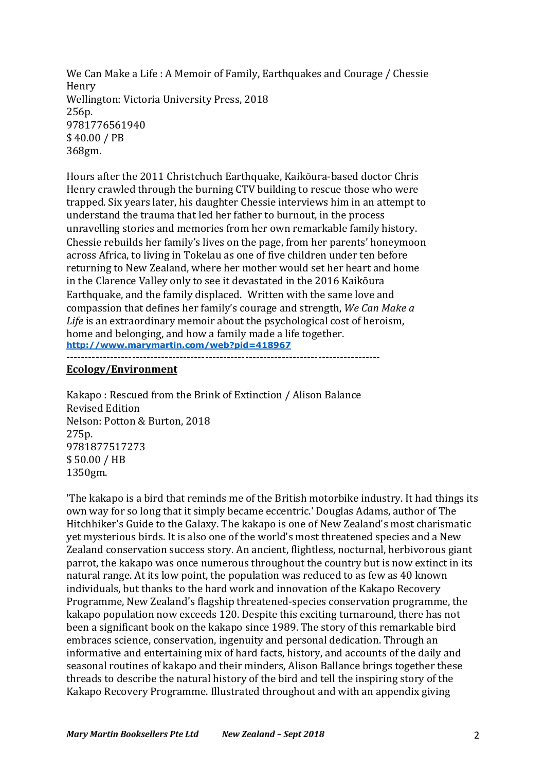We Can Make a Life : A Memoir of Family, Earthquakes and Courage / Chessie Henry Wellington: Victoria University Press, 2018 256p. 9781776561940 \$ 40.00 / PB 368gm.

Hours after the 2011 Christchuch Earthquake, Kaikōura-based doctor Chris Henry crawled through the burning CTV building to rescue those who were trapped. Six years later, his daughter Chessie interviews him in an attempt to understand the trauma that led her father to burnout, in the process unravelling stories and memories from her own remarkable family history. Chessie rebuilds her family's lives on the page, from her parents' honeymoon across Africa, to living in Tokelau as one of five children under ten before returning to New Zealand, where her mother would set her heart and home in the Clarence Valley only to see it devastated in the 2016 Kaikōura Earthquake, and the family displaced. Written with the same love and compassion that defines her family's courage and strength, *We Can Make a Life* is an extraordinary memoir about the psychological cost of heroism, home and belonging, and how a family made a life together. **http://www.marymartin.com/web?pid=418967**

## **Ecology/Environment**

Kakapo: Rescued from the Brink of Extinction / Alison Balance Revised Edition Nelson: Potton & Burton, 2018 275p. 9781877517273 \$ 50.00 / HB 1350gm.

--------------------------------------------------------------------------------------

'The kakapo is a bird that reminds me of the British motorbike industry. It had things its own way for so long that it simply became eccentric.' Douglas Adams, author of The Hitchhiker's Guide to the Galaxy. The kakapo is one of New Zealand's most charismatic yet mysterious birds. It is also one of the world's most threatened species and a New Zealand conservation success story. An ancient, flightless, nocturnal, herbivorous giant parrot, the kakapo was once numerous throughout the country but is now extinct in its natural range. At its low point, the population was reduced to as few as 40 known individuals, but thanks to the hard work and innovation of the Kakapo Recovery Programme, New Zealand's flagship threatened-species conservation programme, the kakapo population now exceeds 120. Despite this exciting turnaround, there has not been a significant book on the kakapo since 1989. The story of this remarkable bird embraces science, conservation, ingenuity and personal dedication. Through an informative and entertaining mix of hard facts, history, and accounts of the daily and seasonal routines of kakapo and their minders, Alison Ballance brings together these threads to describe the natural history of the bird and tell the inspiring story of the Kakapo Recovery Programme. Illustrated throughout and with an appendix giving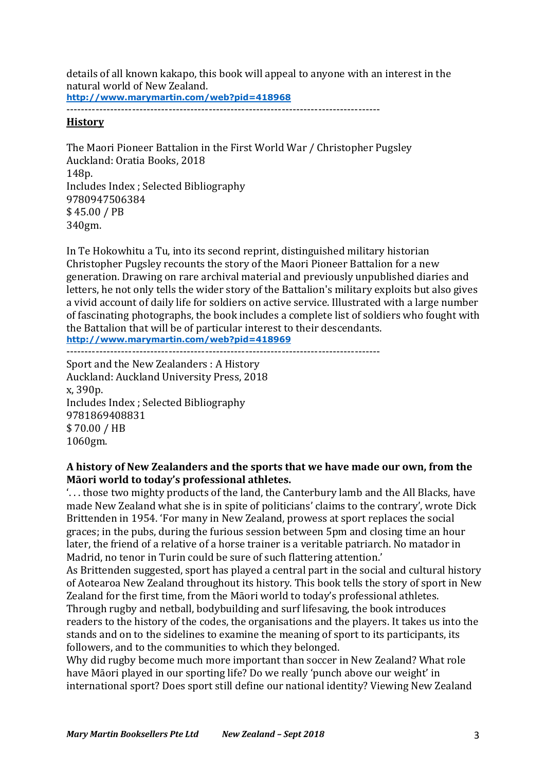details of all known kakapo, this book will appeal to anyone with an interest in the natural world of New Zealand. **http://www.marymartin.com/web?pid=418968**

--------------------------------------------------------------------------------------

## **History**

The Maori Pioneer Battalion in the First World War / Christopher Pugsley Auckland: Oratia Books, 2018 148p. Includes Index ; Selected Bibliography 9780947506384 \$ 45.00 / PB 340gm.

In Te Hokowhitu a Tu, into its second reprint, distinguished military historian Christopher Pugsley recounts the story of the Maori Pioneer Battalion for a new generation. Drawing on rare archival material and previously unpublished diaries and letters, he not only tells the wider story of the Battalion's military exploits but also gives a vivid account of daily life for soldiers on active service. Illustrated with a large number of fascinating photographs, the book includes a complete list of soldiers who fought with the Battalion that will be of particular interest to their descendants. **http://www.marymartin.com/web?pid=418969**

--------------------------------------------------------------------------------------

Sport and the New Zealanders : A History Auckland: Auckland University Press, 2018 x, 390p. Includes Index ; Selected Bibliography 9781869408831 \$ 70.00 / HB 1060gm.

# A history of New Zealanders and the sports that we have made our own, from the Māori world to today's professional athletes.

'... those two mighty products of the land, the Canterbury lamb and the All Blacks, have made New Zealand what she is in spite of politicians' claims to the contrary', wrote Dick Brittenden in 1954. 'For many in New Zealand, prowess at sport replaces the social graces; in the pubs, during the furious session between 5pm and closing time an hour later, the friend of a relative of a horse trainer is a veritable patriarch. No matador in Madrid, no tenor in Turin could be sure of such flattering attention.'

As Brittenden suggested, sport has played a central part in the social and cultural history of Aotearoa New Zealand throughout its history. This book tells the story of sport in New Zealand for the first time, from the Māori world to today's professional athletes.

Through rugby and netball, bodybuilding and surf lifesaving, the book introduces readers to the history of the codes, the organisations and the players. It takes us into the stands and on to the sidelines to examine the meaning of sport to its participants, its followers, and to the communities to which they belonged.

Why did rugby become much more important than soccer in New Zealand? What role have Māori played in our sporting life? Do we really 'punch above our weight' in international sport? Does sport still define our national identity? Viewing New Zealand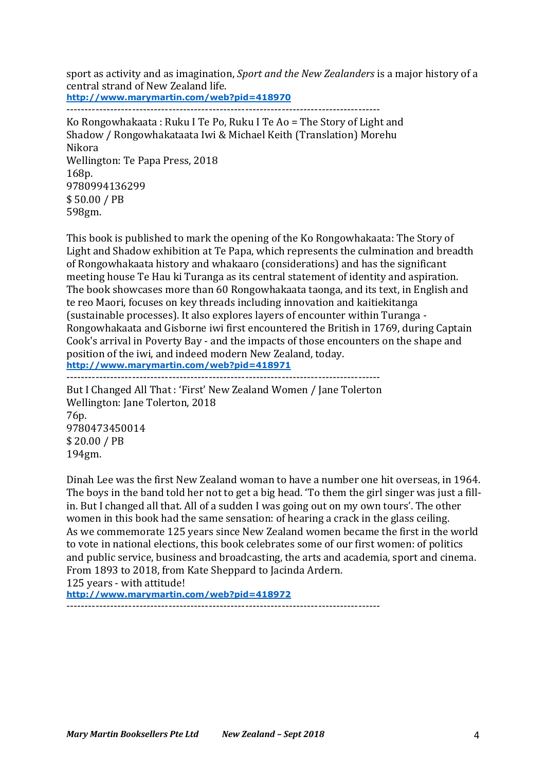sport as activity and as imagination, *Sport and the New Zealanders* is a major history of a central strand of New Zealand life. **http://www.marymartin.com/web?pid=418970** --------------------------------------------------------------------------------------

Ko Rongowhakaata : Ruku I Te Po, Ruku I Te Ao = The Story of Light and Shadow / Rongowhakataata Iwi & Michael Keith (Translation) Morehu Nikora Wellington: Te Papa Press, 2018 168p. 9780994136299 \$ 50.00 / PB 598gm.

This book is published to mark the opening of the Ko Rongowhakaata: The Story of Light and Shadow exhibition at Te Papa, which represents the culmination and breadth of Rongowhakaata history and whakaaro (considerations) and has the significant meeting house Te Hau ki Turanga as its central statement of identity and aspiration. The book showcases more than 60 Rongowhakaata taonga, and its text, in English and te reo Maori, focuses on key threads including innovation and kaitiekitanga (sustainable processes). It also explores layers of encounter within Turanga -Rongowhakaata and Gisborne iwi first encountered the British in 1769, during Captain Cook's arrival in Poverty Bay - and the impacts of those encounters on the shape and position of the iwi, and indeed modern New Zealand, today. **http://www.marymartin.com/web?pid=418971**

--------------------------------------------------------------------------------------

But I Changed All That: 'First' New Zealand Women / Jane Tolerton Wellington: Jane Tolerton, 2018 76p. 9780473450014 \$ 20.00 / PB 194gm.

Dinah Lee was the first New Zealand woman to have a number one hit overseas, in 1964. The boys in the band told her not to get a big head. 'To them the girl singer was just a fillin. But I changed all that. All of a sudden I was going out on my own tours'. The other women in this book had the same sensation: of hearing a crack in the glass ceiling. As we commemorate 125 years since New Zealand women became the first in the world to vote in national elections, this book celebrates some of our first women: of politics and public service, business and broadcasting, the arts and academia, sport and cinema. From 1893 to 2018, from Kate Sheppard to Jacinda Ardern.

125 years - with attitude!

**http://www.marymartin.com/web?pid=418972**

--------------------------------------------------------------------------------------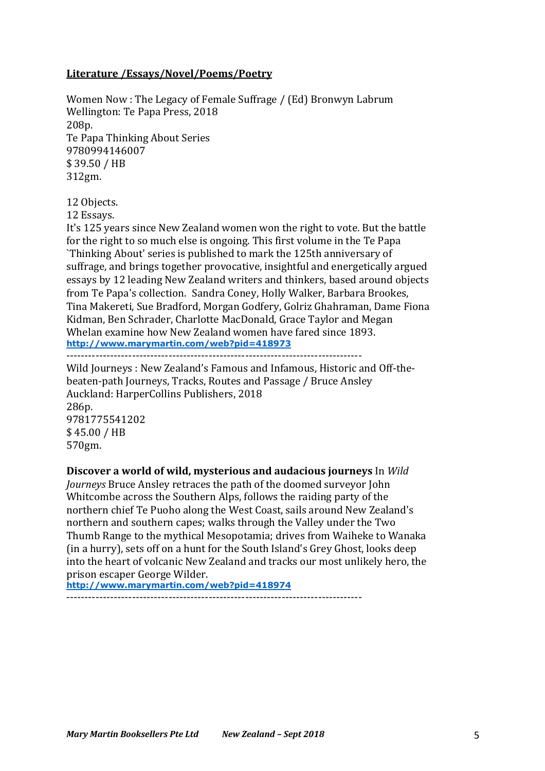# **Literature /Essays/Novel/Poems/Poetry**

Women Now : The Legacy of Female Suffrage / (Ed) Bronwyn Labrum Wellington: Te Papa Press, 2018 208p. Te Papa Thinking About Series 9780994146007 \$ 39.50 / HB 312gm.

12 Objects.

12 Essays.

It's 125 years since New Zealand women won the right to vote. But the battle for the right to so much else is ongoing. This first volume in the Te Papa `Thinking About' series is published to mark the 125th anniversary of suffrage, and brings together provocative, insightful and energetically argued essays by 12 leading New Zealand writers and thinkers, based around objects from Te Papa's collection. Sandra Coney, Holly Walker, Barbara Brookes, Tina Makereti, Sue Bradford, Morgan Godfery, Golriz Ghahraman, Dame Fiona Kidman, Ben Schrader, Charlotte MacDonald, Grace Taylor and Megan Whelan examine how New Zealand women have fared since 1893. **http://www.marymartin.com/web?pid=418973**

---------------------------------------------------------------------------------

Wild Journeys : New Zealand's Famous and Infamous, Historic and Off-thebeaten-path Journeys, Tracks, Routes and Passage / Bruce Ansley Auckland: HarperCollins Publishers, 2018 286p. 9781775541202 \$ 45.00 / HB 570gm.

# **Discover a world of wild, mysterious and audacious journeys** In *Wild*

Journeys Bruce Ansley retraces the path of the doomed surveyor John Whitcombe across the Southern Alps, follows the raiding party of the northern chief Te Puoho along the West Coast, sails around New Zealand's northern and southern capes; walks through the Valley under the Two Thumb Range to the mythical Mesopotamia; drives from Waiheke to Wanaka (in a hurry), sets off on a hunt for the South Island's Grey Ghost, looks deep into the heart of volcanic New Zealand and tracks our most unlikely hero, the prison escaper George Wilder.

**http://www.marymartin.com/web?pid=418974**

---------------------------------------------------------------------------------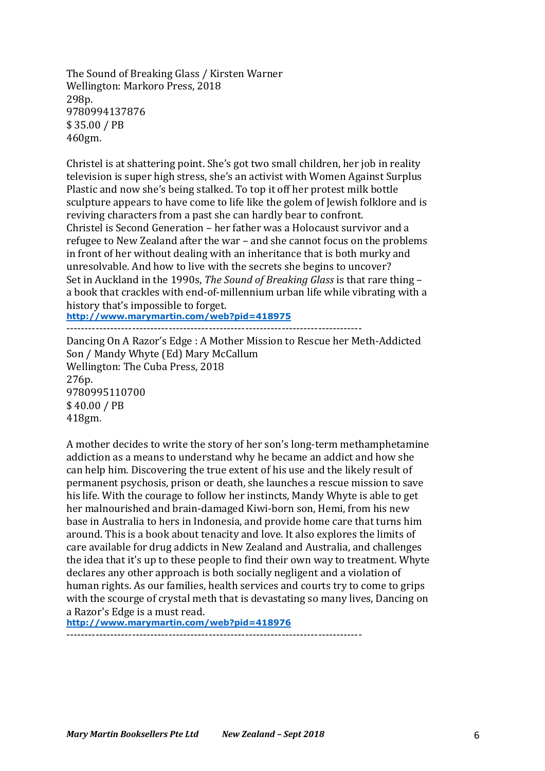The Sound of Breaking Glass / Kirsten Warner Wellington: Markoro Press, 2018 298p. 9780994137876 \$ 35.00 / PB 460gm.

Christel is at shattering point. She's got two small children, her job in reality television is super high stress, she's an activist with Women Against Surplus Plastic and now she's being stalked. To top it off her protest milk bottle sculpture appears to have come to life like the golem of Jewish folklore and is reviving characters from a past she can hardly bear to confront. Christel is Second Generation – her father was a Holocaust survivor and a refugee to New Zealand after the war – and she cannot focus on the problems in front of her without dealing with an inheritance that is both murky and unresolvable. And how to live with the secrets she begins to uncover? Set in Auckland in the 1990s, *The Sound of Breaking Glass* is that rare thing – a book that crackles with end-of-millennium urban life while vibrating with a history that's impossible to forget.

**http://www.marymartin.com/web?pid=418975** ---------------------------------------------------------------------------------

Dancing On A Razor's Edge: A Mother Mission to Rescue her Meth-Addicted Son / Mandy Whyte (Ed) Mary McCallum Wellington: The Cuba Press, 2018 276p. 9780995110700 \$ 40.00 / PB 418gm.

A mother decides to write the story of her son's long-term methamphetamine addiction as a means to understand why he became an addict and how she can help him. Discovering the true extent of his use and the likely result of permanent psychosis, prison or death, she launches a rescue mission to save his life. With the courage to follow her instincts, Mandy Whyte is able to get her malnourished and brain-damaged Kiwi-born son, Hemi, from his new base in Australia to hers in Indonesia, and provide home care that turns him around. This is a book about tenacity and love. It also explores the limits of care available for drug addicts in New Zealand and Australia, and challenges the idea that it's up to these people to find their own way to treatment. Whyte declares any other approach is both socially negligent and a violation of human rights. As our families, health services and courts try to come to grips with the scourge of crystal meth that is devastating so many lives, Dancing on a Razor's Edge is a must read.

**http://www.marymartin.com/web?pid=418976**

---------------------------------------------------------------------------------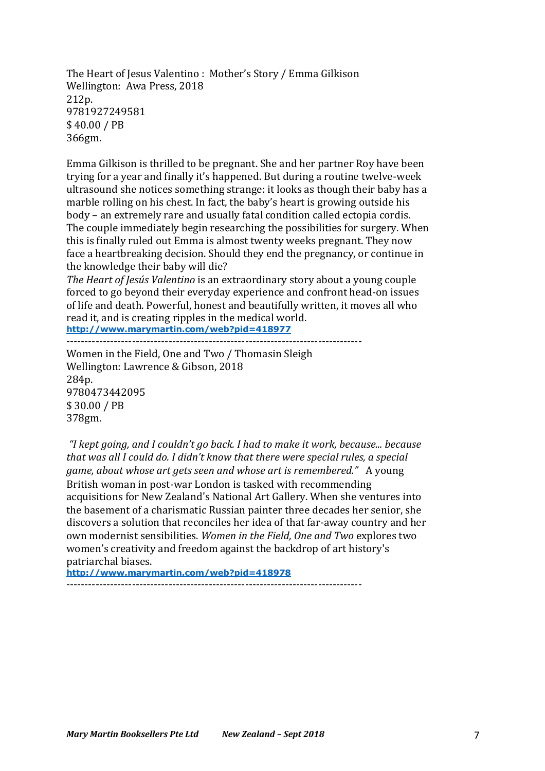The Heart of Jesus Valentino: Mother's Story / Emma Gilkison Wellington: Awa Press, 2018 212p. 9781927249581 \$ 40.00 / PB 366gm.

Emma Gilkison is thrilled to be pregnant. She and her partner Roy have been trying for a year and finally it's happened. But during a routine twelve-week ultrasound she notices something strange: it looks as though their baby has a marble rolling on his chest. In fact, the baby's heart is growing outside his body – an extremely rare and usually fatal condition called ectopia cordis. The couple immediately begin researching the possibilities for surgery. When this is finally ruled out Emma is almost twenty weeks pregnant. They now face a heartbreaking decision. Should they end the pregnancy, or continue in the knowledge their baby will die?

*The Heart of Jesús Valentino* is an extraordinary story about a young couple forced to go beyond their everyday experience and confront head-on issues of life and death. Powerful, honest and beautifully written, it moves all who read it, and is creating ripples in the medical world.

**http://www.marymartin.com/web?pid=418977**

---------------------------------------------------------------------------------

Women in the Field, One and Two / Thomasin Sleigh Wellington: Lawrence & Gibson, 2018 284p. 9780473442095 \$ 30.00 / PB 378gm.

*"I kept going, and I couldn't go back. I had to make it work, because... because*  that was all I could do. I didn't know that there were special rules, a special *game, about whose art gets seen and whose art is remembered."* A young British woman in post-war London is tasked with recommending acquisitions for New Zealand's National Art Gallery. When she ventures into the basement of a charismatic Russian painter three decades her senior, she discovers a solution that reconciles her idea of that far-away country and her own modernist sensibilities. Women in the Field, One and Two explores two women's creativity and freedom against the backdrop of art history's patriarchal biases. 

**http://www.marymartin.com/web?pid=418978** ---------------------------------------------------------------------------------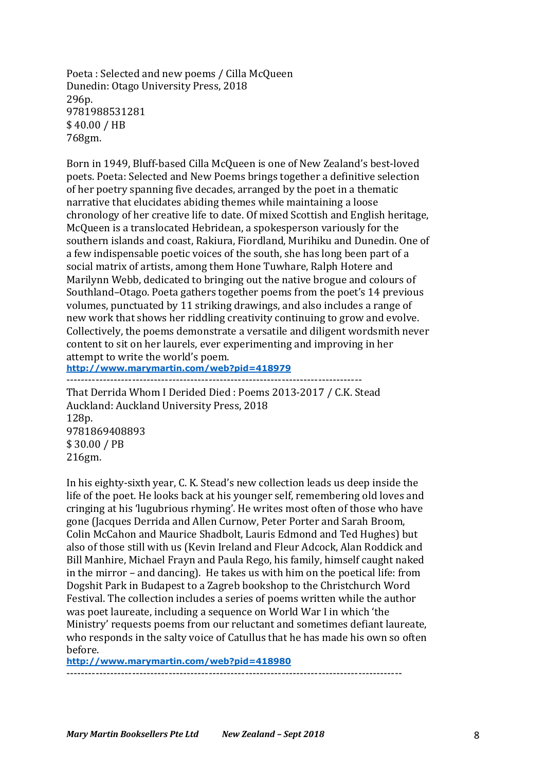Poeta: Selected and new poems / Cilla McQueen Dunedin: Otago University Press, 2018 296p. 9781988531281 \$ 40.00 / HB 768gm.

Born in 1949, Bluff-based Cilla McQueen is one of New Zealand's best-loved poets. Poeta: Selected and New Poems brings together a definitive selection of her poetry spanning five decades, arranged by the poet in a thematic narrative that elucidates abiding themes while maintaining a loose chronology of her creative life to date. Of mixed Scottish and English heritage, McQueen is a translocated Hebridean, a spokesperson variously for the southern islands and coast, Rakiura, Fiordland, Murihiku and Dunedin. One of a few indispensable poetic voices of the south, she has long been part of a social matrix of artists, among them Hone Tuwhare, Ralph Hotere and Marilynn Webb, dedicated to bringing out the native brogue and colours of Southland–Otago. Poeta gathers together poems from the poet's 14 previous volumes, punctuated by 11 striking drawings, and also includes a range of new work that shows her riddling creativity continuing to grow and evolve. Collectively, the poems demonstrate a versatile and diligent wordsmith never content to sit on her laurels, ever experimenting and improving in her attempt to write the world's poem.

**http://www.marymartin.com/web?pid=418979** ---------------------------------------------------------------------------------

That Derrida Whom I Derided Died: Poems 2013-2017 / C.K. Stead Auckland: Auckland University Press, 2018 128p. 9781869408893 \$ 30.00 / PB 216gm.

In his eighty-sixth year, C. K. Stead's new collection leads us deep inside the life of the poet. He looks back at his younger self, remembering old loves and cringing at his 'lugubrious rhyming'. He writes most often of those who have gone (Jacques Derrida and Allen Curnow, Peter Porter and Sarah Broom, Colin McCahon and Maurice Shadbolt, Lauris Edmond and Ted Hughes) but also of those still with us (Kevin Ireland and Fleur Adcock, Alan Roddick and Bill Manhire, Michael Frayn and Paula Rego, his family, himself caught naked in the mirror – and dancing). He takes us with him on the poetical life: from Dogshit Park in Budapest to a Zagreb bookshop to the Christchurch Word Festival. The collection includes a series of poems written while the author was poet laureate, including a sequence on World War I in which 'the Ministry' requests poems from our reluctant and sometimes defiant laureate, who responds in the salty voice of Catullus that he has made his own so often before.

--------------------------------------------------------------------------------------------

**http://www.marymartin.com/web?pid=418980**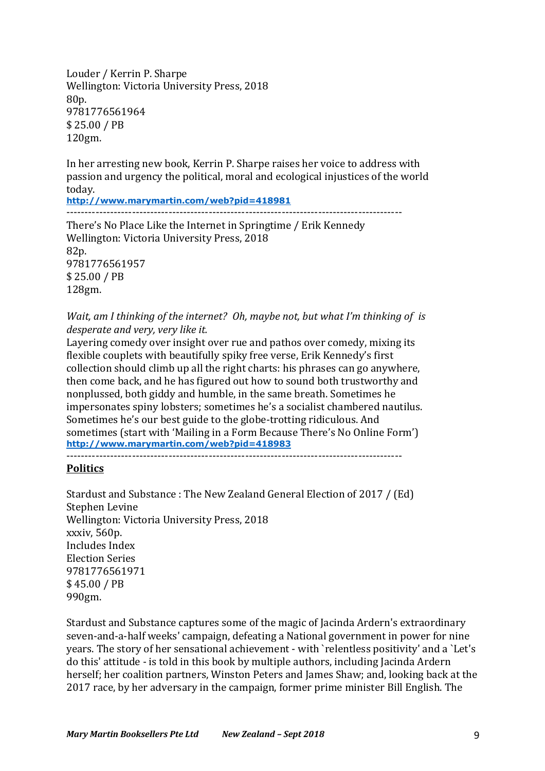Louder / Kerrin P. Sharpe Wellington: Victoria University Press, 2018 80p. 9781776561964 \$ 25.00 / PB 120gm.

In her arresting new book, Kerrin P. Sharpe raises her voice to address with passion and urgency the political, moral and ecological injustices of the world today.

**http://www.marymartin.com/web?pid=418981**

--------------------------------------------------------------------------------------------

There's No Place Like the Internet in Springtime / Erik Kennedy Wellington: Victoria University Press, 2018 82p. 9781776561957 \$ 25.00 / PB 128gm.

*Wait, am I thinking of the internet? Oh, maybe not, but what I'm thinking of is* desperate and very, very like it.

Layering comedy over insight over rue and pathos over comedy, mixing its flexible couplets with beautifully spiky free verse, Erik Kennedy's first collection should climb up all the right charts: his phrases can go anywhere, then come back, and he has figured out how to sound both trustworthy and nonplussed, both giddy and humble, in the same breath. Sometimes he impersonates spiny lobsters; sometimes he's a socialist chambered nautilus. Sometimes he's our best guide to the globe-trotting ridiculous. And sometimes (start with 'Mailing in a Form Because There's No Online Form') **http://www.marymartin.com/web?pid=418983**

--------------------------------------------------------------------------------------------

# **Politics**

Stardust and Substance : The New Zealand General Election of 2017 / (Ed) Stephen Levine Wellington: Victoria University Press, 2018 xxxiv, 560p. Includes Index Election Series 9781776561971 \$ 45.00 / PB 990gm. 

Stardust and Substance captures some of the magic of Jacinda Ardern's extraordinary seven-and-a-half weeks' campaign, defeating a National government in power for nine years. The story of her sensational achievement - with `relentless positivity' and a `Let's do this' attitude - is told in this book by multiple authors, including Jacinda Ardern herself; her coalition partners, Winston Peters and James Shaw; and, looking back at the 2017 race, by her adversary in the campaign, former prime minister Bill English. The